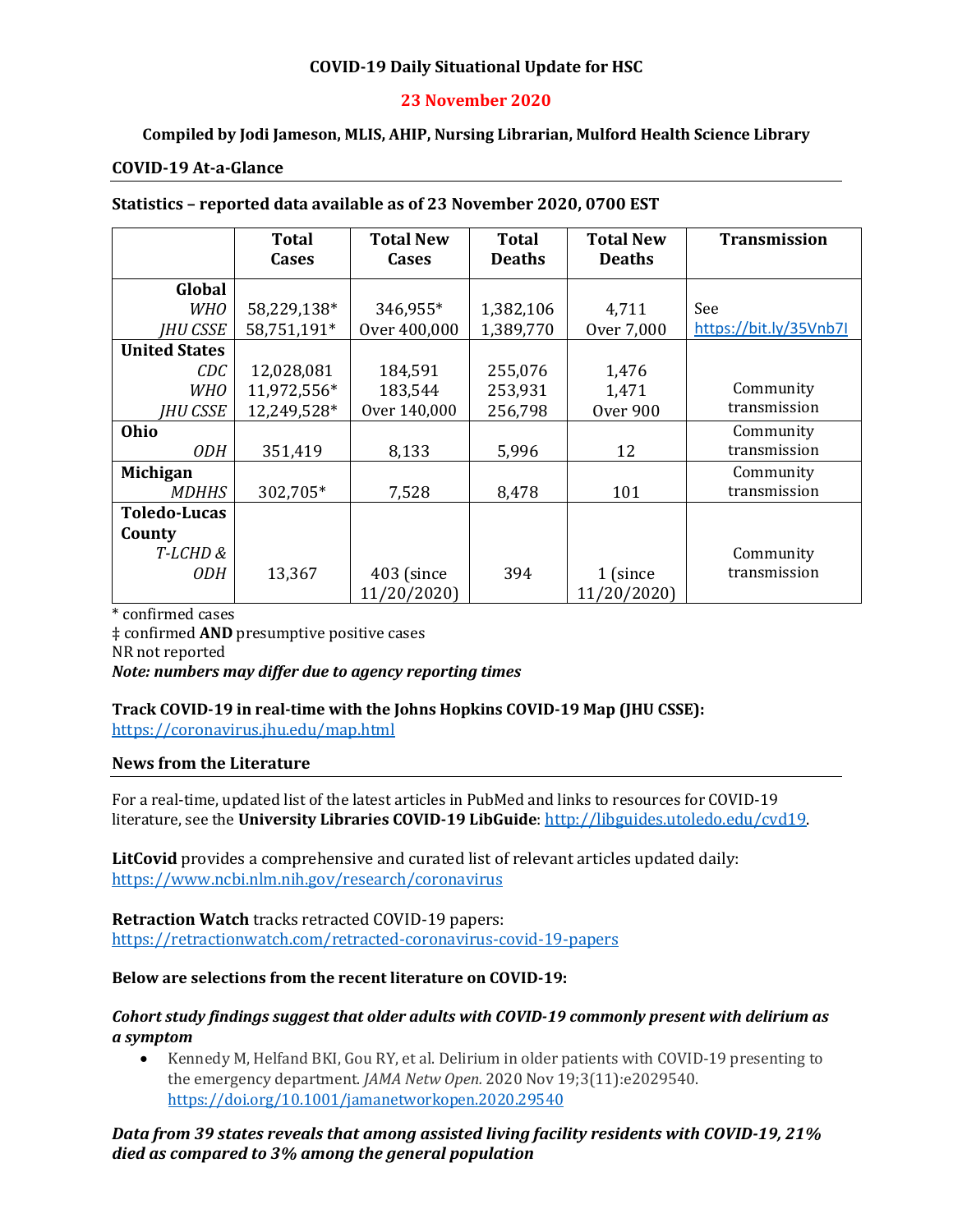## **COVID-19 Daily Situational Update for HSC**

## **23 November 2020**

## **Compiled by Jodi Jameson, MLIS, AHIP, Nursing Librarian, Mulford Health Science Library**

#### **COVID-19 At-a-Glance**

| Statistics - reported data available as of 23 November 2020, 0700 EST |  |
|-----------------------------------------------------------------------|--|
|-----------------------------------------------------------------------|--|

|                      | <b>Total</b> | <b>Total New</b> | <b>Total</b>  | <b>Total New</b> | <b>Transmission</b>    |
|----------------------|--------------|------------------|---------------|------------------|------------------------|
|                      | Cases        | <b>Cases</b>     | <b>Deaths</b> | <b>Deaths</b>    |                        |
| Global               |              |                  |               |                  |                        |
|                      |              |                  |               |                  |                        |
| <b>WHO</b>           | 58,229,138*  | 346,955*         | 1,382,106     | 4,711            | See                    |
| <b>IHU CSSE</b>      | 58,751,191*  | Over 400,000     | 1,389,770     | Over 7,000       | https://bit.ly/35Vnb7I |
| <b>United States</b> |              |                  |               |                  |                        |
| CDC                  | 12,028,081   | 184,591          | 255,076       | 1,476            |                        |
| <b>WHO</b>           | 11,972,556*  | 183,544          | 253,931       | 1,471            | Community              |
| <b>IHU CSSE</b>      | 12,249,528*  | Over 140,000     | 256,798       | <b>Over 900</b>  | transmission           |
| Ohio                 |              |                  |               |                  | Community              |
| <i>ODH</i>           | 351,419      | 8,133            | 5,996         | 12               | transmission           |
| <b>Michigan</b>      |              |                  |               |                  | Community              |
| <b>MDHHS</b>         | 302,705*     | 7,528            | 8,478         | 101              | transmission           |
| <b>Toledo-Lucas</b>  |              |                  |               |                  |                        |
| County               |              |                  |               |                  |                        |
| T-LCHD&              |              |                  |               |                  | Community              |
| 0DH                  | 13,367       | 403 (since       | 394           | 1 (since         | transmission           |
|                      |              | 11/20/2020)      |               | 11/20/2020)      |                        |

\* confirmed cases

‡ confirmed **AND** presumptive positive cases NR not reported *Note: numbers may differ due to agency reporting times* 

# **Track COVID-19 in real-time with the Johns Hopkins COVID-19 Map (JHU CSSE):**

<https://coronavirus.jhu.edu/map.html>

#### **News from the Literature**

For a real-time, updated list of the latest articles in PubMed and links to resources for COVID-19 literature, see the **University Libraries COVID-19 LibGuide**[: http://libguides.utoledo.edu/cvd19.](http://libguides.utoledo.edu/cvd19) 

**LitCovid** provides a comprehensive and curated list of relevant articles updated daily: <https://www.ncbi.nlm.nih.gov/research/coronavirus>

**Retraction Watch** tracks retracted COVID-19 papers: [https://retractionwatch.com/retracted-coronavirus-covid-19-papers](https://retractionwatch.com/retracted-coronavirus-covid-19-papers/)

#### **Below are selections from the recent literature on COVID-19:**

#### *Cohort study findings suggest that older adults with COVID-19 commonly present with delirium as a symptom*

• Kennedy M, Helfand BKI, Gou RY, et al. Delirium in older patients with COVID-19 presenting to the emergency department. *JAMA Netw Open.* 2020 Nov 19;3(11):e2029540. <https://doi.org/10.1001/jamanetworkopen.2020.29540>

*Data from 39 states reveals that among assisted living facility residents with COVID-19, 21% died as compared to 3% among the general population*